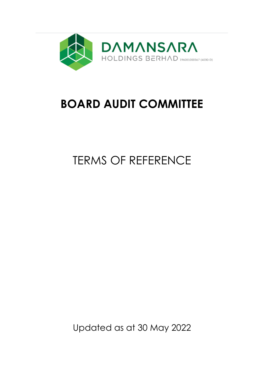

## **BOARD AUDIT COMMITTEE**

# TERMS OF REFERENCE

Updated as at 30 May 2022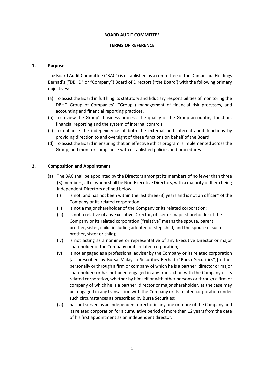#### **BOARD AUDIT COMMITTEE**

#### **TERMS OF REFERENCE**

#### **1. Purpose**

The Board Audit Committee ("BAC") is established as a committee of the Damansara Holdings Berhad's ("DBHD" or "Company") Board of Directors ("the Board') with the following primary objectives:

- (a) To assist the Board in fulfilling its statutory and fiduciary responsibilities of monitoring the DBHD Group of Companies' ("Group") management of financial risk processes, and accounting and financial reporting practices.
- (b) To review the Group's business process, the quality of the Group accounting function, financial reporting and the system of internal controls.
- (c) To enhance the independence of both the external and internal audit functions by providing direction to and oversight of these functions on behalf of the Board.
- (d) To assist the Board in ensuring that an effective ethics program is implemented across the Group, and monitor compliance with established policies and procedures

#### **2. Composition and Appointment**

- (a) The BAC shall be appointed by the Directors amongst its members of no fewer than three (3) members, all of whom shall be Non-Executive Directors, with a majority of them being Independent Directors defined below:
	- (i) is not, and has not been within the last three (3) years and is not an officer\* of the Company or its related corporation;
	- (ii) is not a major shareholder of the Company or its related corporation;
	- (iii) is not a relative of any Executive Director, officer or major shareholder of the Company or its related corporation ("relative" means the spouse, parent, brother, sister, child, including adopted or step child, and the spouse of such brother, sister or child);
	- (iv) is not acting as a nominee or representative of any Executive Director or major shareholder of the Company or its related corporation;
	- (v) is not engaged as a professional adviser by the Company or its related corporation [as prescribed by Bursa Malaysia Securities Berhad ("Bursa Securities")] either personally or through a firm or company of which he is a partner, director or major shareholder; or has not been engaged in any transaction with the Company or its related corporation, whether by himself or with other persons or through a firm or company of which he is a partner, director or major shareholder, as the case may be, engaged in any transaction with the Company or its related corporation under such circumstances as prescribed by Bursa Securities;
	- (vi) has not served as an independent director in any one or more of the Company and its related corporation for a cumulative period of more than 12 years from the date of his first appointment as an independent director.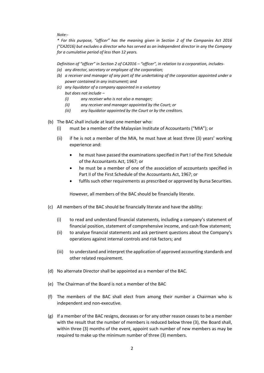*Note:-*

*\* For this purpose, "officer" has the meaning given in Section 2 of the Companies Act 2016 ("CA2016) but excludes a director who has served as an independent director in any the Company for a cumulative period of less than 12 years.*

*Definition of "officer" in Section 2 of CA2016 – "officer", in relation to a corporation, includes-*

- *(a) any director, secretary or employee of the corporation;*
- *(b) a receiver and manager of any part of the undertaking of the corporation appointed under a power contained in any instrument; and*
- *(c) any liquidator of a company appointed in a voluntary but does not include –*
	- *(i) any receiver who is not also a manager;*
	- *(ii) any receiver and manager appointed by the Court; or*
	- *(iii) any liquidator appointed by the Court or by the creditors.*
- (b) The BAC shall include at least one member who:
	- (i) must be a member of the Malaysian Institute of Accountants ("MIA"); or
	- (ii) if he is not a member of the MIA, he must have at least three (3) years' working experience and:
		- he must have passed the examinations specified in Part I of the First Schedule of the Accountants Act, 1967; or
		- he must be a member of one of the association of accountants specified in Part II of the First Schedule of the Accountants Act, 1967; or
		- fulfils such other requirements as prescribed or approved by Bursa Securities.

However, all members of the BAC should be financially literate.

- (c) All members of the BAC should be financially literate and have the ability:
	- (i) to read and understand financial statements, including a company's statement of financial position, statement of comprehensive income, and cash flow statement;
	- (ii) to analyse financial statements and ask pertinent questions about the Company's operations against internal controls and risk factors; and
	- (iii) to understand and interpret the application of approved accounting standards and other related requirement.
- (d) No alternate Director shall be appointed as a member of the BAC.
- (e) The Chairman of the Board is not a member of the BAC
- (f) The members of the BAC shall elect from among their number a Chairman who is independent and non-executive.
- (g) If a member of the BAC resigns, deceases or for any other reason ceases to be a member with the result that the number of members is reduced below three (3), the Board shall, within three (3) months of the event, appoint such number of new members as may be required to make up the minimum number of three (3) members.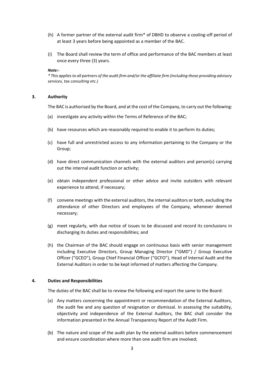- (h) A former partner of the external audit firm\* of DBHD to observe a cooling-off period of at least 3 years before being appointed as a member of the BAC.
- (i) The Board shall review the term of office and performance of the BAC members at least once every three (3) years.

#### *Note:-*

*\* This applies to all partners of the audit firm and/or the affiliate firm (including those providing advisory services, tax consulting etc.)*

#### **3. Authority**

The BAC is authorised by the Board, and at the cost of the Company, to carry out the following:

- (a) investigate any activity within the Terms of Reference of the BAC;
- (b) have resources which are reasonably required to enable it to perform its duties;
- (c) have full and unrestricted access to any information pertaining to the Company or the Group;
- (d) have direct communication channels with the external auditors and person(s) carrying out the internal audit function or activity;
- (e) obtain independent professional or other advice and invite outsiders with relevant experience to attend, if necessary;
- (f) convene meetings with the external auditors, the internal auditors or both, excluding the attendance of other Directors and employees of the Company, whenever deemed necessary;
- (g) meet regularly, with due notice of issues to be discussed and record its conclusions in discharging its duties and responsibilities; and
- (h) the Chairman of the BAC should engage on continuous basis with senior management including Executive Directors, Group Managing Director ("GMD") / Group Executive Officer ("GCEO"), Group Chief Financial Officer ("GCFO"), Head of Internal Audit and the External Auditors in order to be kept informed of matters affecting the Company.

#### **4. Duties and Responsibilities**

The duties of the BAC shall be to review the following and report the same to the Board:

- (a) Any matters concerning the appointment or recommendation of the External Auditors, the audit fee and any question of resignation or dismissal. In assessing the suitability, objectivity and independence of the External Auditors, the BAC shall consider the information presented in the Annual Transparency Report of the Audit Firm.
- (b) The nature and scope of the audit plan by the external auditors before commencement and ensure coordination where more than one audit firm are involved;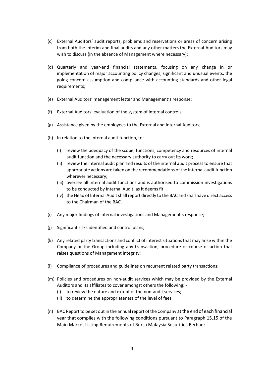- (c) External Auditors' audit reports, problems and reservations or areas of concern arising from both the interim and final audits and any other matters the External Auditors may wish to discuss (in the absence of Management where necessary);
- (d) Quarterly and year-end financial statements, focusing on any change in or implementation of major accounting policy changes, significant and unusual events, the going concern assumption and compliance with accounting standards and other legal requirements;
- (e) External Auditors' management letter and Management's response;
- (f) External Auditors' evaluation of the system of internal controls;
- (g) Assistance given by the employees to the External and Internal Auditors;
- (h) In relation to the internal audit function, to:
	- (i) review the adequacy of the scope, functions, competency and resources of internal audit function and the necessary authority to carry out its work;
	- (ii) review the internal audit plan and results of the internal audit process to ensure that appropriate actions are taken on the recommendations of the internal audit function wherever necessary;
	- (iii) oversee all internal audit functions and is authorised to commission investigations to be conducted by Internal Audit, as it deems fit.
	- (iv) the Head of Internal Audit shall report directly to the BAC and shall have direct access to the Chairman of the BAC.
- (i) Any major findings of internal investigations and Management's response;
- (j) Significant risks identified and control plans;
- (k) Any related party transactions and conflict of interest situations that may arise within the Company or the Group including any transaction, procedure or course of action that raises questions of Management integrity;
- (l) Compliance of procedures and guidelines on recurrent related party transactions;
- (m) Policies and procedures on non-audit services which may be provided by the External Auditors and its affiliates to cover amongst others the following: -
	- (i) to review the nature and extent of the non-audit services;
	- (ii) to determine the appropriateness of the level of fees
- (n) BAC Report to be set out in the annual report of the Company at the end of each financial year that complies with the following conditions pursuant to Paragraph 15.15 of the Main Market Listing Requirements of Bursa Malaysia Securities Berhad:-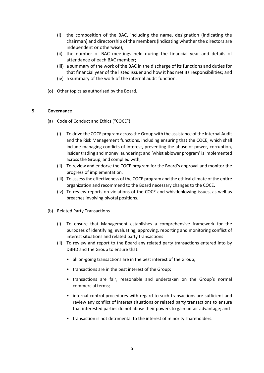- (i) the composition of the BAC, including the name, designation (indicating the chairman) and directorship of the members (indicating whether the directors are independent or otherwise);
- (ii) the number of BAC meetings held during the financial year and details of attendance of each BAC member;
- (iii) a summary of the work of the BAC in the discharge of its functions and duties for that financial year of the listed issuer and how it has met its responsibilities; and
- (iv) a summary of the work of the internal audit function.
- (o) Other topics as authorised by the Board.

#### **5. Governance**

- (a) Code of Conduct and Ethics ("COCE")
	- (i) To drive the COCE program across the Group with the assistance of the Internal Audit and the Risk Management functions, including ensuring that the COCE, which shall include managing conflicts of interest, preventing the abuse of power, corruption, insider trading and money laundering; and 'whistleblower program' is implemented across the Group, and complied with;
	- (ii) To review and endorse the COCE program for the Board's approval and monitor the progress of implementation.
	- (iii) To assess the effectiveness of the COCE program and the ethical climate of the entire organization and recommend to the Board necessary changes to the COCE.
	- (iv) To review reports on violations of the COCE and whistleblowing issues, as well as breaches involving pivotal positions.
- (b) Related Party Transactions
	- (i) To ensure that Management establishes a comprehensive framework for the purposes of identifying, evaluating, approving, reporting and monitoring conflict of interest situations and related party transactions
	- (ii) To review and report to the Board any related party transactions entered into by DBHD and the Group to ensure that:
		- all on-going transactions are in the best interest of the Group;
		- transactions are in the best interest of the Group;
		- transactions are fair, reasonable and undertaken on the Group's normal commercial terms;
		- internal control procedures with regard to such transactions are sufficient and review any conflict of interest situations or related party transactions to ensure that interested parties do not abuse their powers to gain unfair advantage; and
		- transaction is not detrimental to the interest of minority shareholders.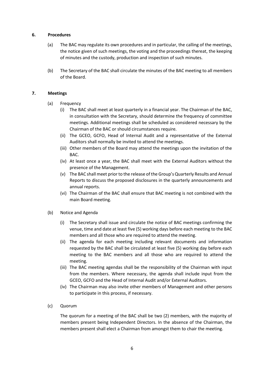#### **6. Procedures**

- (a) The BAC may regulate its own procedures and in particular, the calling of the meetings, the notice given of such meetings, the voting and the proceedings thereat, the keeping of minutes and the custody, production and inspection of such minutes.
- (b) The Secretary of the BAC shall circulate the minutes of the BAC meeting to all members of the Board.

#### **7. Meetings**

- (a) Frequency
	- (i) The BAC shall meet at least quarterly in a financial year. The Chairman of the BAC, in consultation with the Secretary, should determine the frequency of committee meetings. Additional meetings shall be scheduled as considered necessary by the Chairman of the BAC or should circumstances require.
	- (ii) The GCEO, GCFO, Head of Internal Audit and a representative of the External Auditors shall normally be invited to attend the meetings.
	- (iii) Other members of the Board may attend the meetings upon the invitation of the BAC.
	- (iv) At least once a year, the BAC shall meet with the External Auditors without the presence of the Management.
	- (v) The BAC shall meet prior to the release of the Group's Quarterly Results and Annual Reports to discuss the proposed disclosures in the quarterly announcements and annual reports.
	- (vi) The Chairman of the BAC shall ensure that BAC meeting is not combined with the main Board meeting.

### (b) Notice and Agenda

- (i) The Secretary shall issue and circulate the notice of BAC meetings confirming the venue, time and date at least five (5) working days before each meeting to the BAC members and all those who are required to attend the meeting.
- (ii) The agenda for each meeting including relevant documents and information requested by the BAC shall be circulated at least five (5) working day before each meeting to the BAC members and all those who are required to attend the meeting.
- (iii) The BAC meeting agendas shall be the responsibility of the Chairman with input from the members. Where necessary, the agenda shall include input from the GCEO, GCFO and the Head of Internal Audit and/or External Auditors.
- (iv) The Chairman may also invite other members of Management and other persons to participate in this process, if necessary.
- (c) Quorum

The quorum for a meeting of the BAC shall be two (2) members, with the majority of members present being Independent Directors. In the absence of the Chairman, the members present shall elect a Chairman from amongst them to chair the meeting.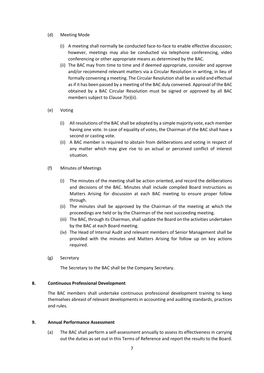- (d) Meeting Mode
	- (i) A meeting shall normally be conducted face-to-face to enable effective discussion; however, meetings may also be conducted via telephone conferencing, video conferencing or other appropriate means as determined by the BAC.
	- (ii) The BAC may from time to time and if deemed appropriate, consider and approve and/or recommend relevant matters via a Circular Resolution in writing, in lieu of formally convening a meeting. The Circular Resolution shall be as valid and effectual as if it has been passed by a meeting of the BAC duly convened. Approval of the BAC obtained by a BAC Circular Resolution must be signed or approved by all BAC members subject to Clause 7(e)(ii).
- (e) Voting
	- (i) All resolutions of the BAC shall be adopted by a simple majority vote, each member having one vote. In case of equality of votes, the Chairman of the BAC shall have a second or casting vote.
	- (ii) A BAC member is required to abstain from deliberations and voting in respect of any matter which may give rise to an actual or perceived conflict of interest situation.
- (f) Minutes of Meetings
	- (i) The minutes of the meeting shall be action oriented, and record the deliberations and decisions of the BAC. Minutes shall include compiled Board instructions as Matters Arising for discussion at each BAC meeting to ensure proper follow through.
	- (ii) The minutes shall be approved by the Chairman of the meeting at which the proceedings are held or by the Chairman of the next succeeding meeting.
	- (iii) The BAC, through its Chairman, shall update the Board on the activities undertaken by the BAC at each Board meeting.
	- (iv) The Head of Internal Audit and relevant members of Senior Management shall be provided with the minutes and Matters Arising for follow up on key actions required.
- (g) Secretary

The Secretary to the BAC shall be the Company Secretary.

#### **8. Continuous Professional Development**

The BAC members shall undertake continuous professional development training to keep themselves abreast of relevant developments in accounting and auditing standards, practices and rules.

#### **9. Annual Performance Assessment**

(a) The BAC shall perform a self-assessment annually to assess its effectiveness in carrying out the duties as set out in this Terms of Reference and report the results to the Board.